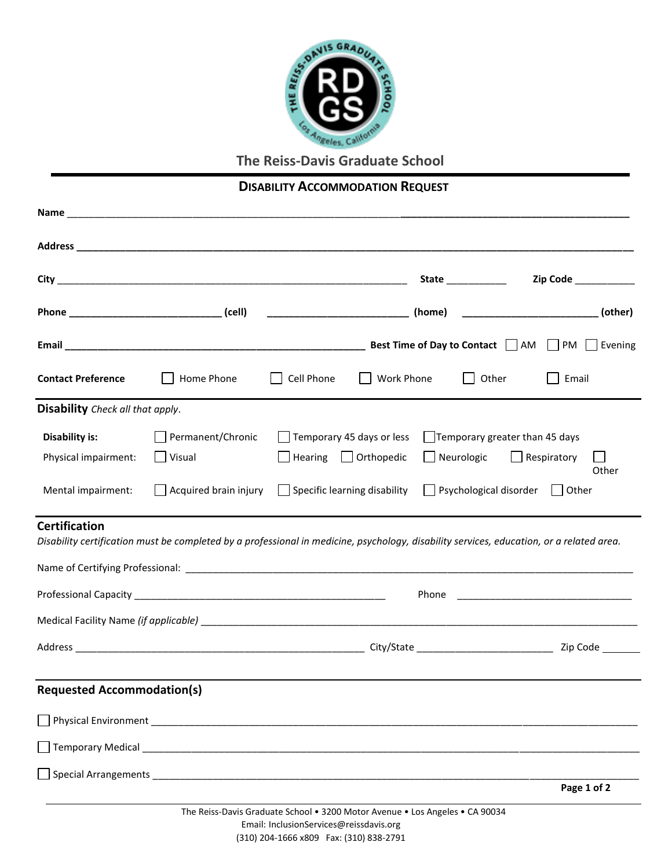

**The Reiss-Davis Graduate School**

## **DISABILITY ACCOMMODATION REQUEST**

|                                         |                                               |                                                                                                                                          | State ______________                                                      | Zip Code ____________ |
|-----------------------------------------|-----------------------------------------------|------------------------------------------------------------------------------------------------------------------------------------------|---------------------------------------------------------------------------|-----------------------|
|                                         |                                               | ___________________________(home)  ________________________________(other)                                                               |                                                                           |                       |
|                                         |                                               |                                                                                                                                          |                                                                           |                       |
| <b>Contact Preference</b>               | Home Phone                                    | Cell Phone                                                                                                                               | Other<br>Work Phone                                                       | Email                 |
| <b>Disability</b> Check all that apply. |                                               |                                                                                                                                          |                                                                           |                       |
| Disability is:<br>Physical impairment:  | Permanent/Chronic<br>$\mathbf{L}$<br>  Visual | $\Box$ Temporary 45 days or less<br>$\left $ Hearing $\left  \right $ Orthopedic                                                         | $\Box$ Temporary greater than 45 days<br>Neurologic<br>$\Box$ Respiratory | Other                 |
| Mental impairment:                      | Acquired brain injury                         | $\Box$ Specific learning disability                                                                                                      | Psychological disorder <b>J</b> Other                                     |                       |
| <b>Certification</b>                    |                                               | Disability certification must be completed by a professional in medicine, psychology, disability services, education, or a related area. |                                                                           |                       |
|                                         |                                               |                                                                                                                                          |                                                                           |                       |
|                                         |                                               |                                                                                                                                          |                                                                           |                       |
|                                         |                                               |                                                                                                                                          |                                                                           |                       |
|                                         |                                               |                                                                                                                                          |                                                                           |                       |
| <b>Requested Accommodation(s)</b>       |                                               |                                                                                                                                          |                                                                           |                       |
|                                         |                                               |                                                                                                                                          |                                                                           |                       |
|                                         |                                               |                                                                                                                                          |                                                                           |                       |
|                                         |                                               |                                                                                                                                          |                                                                           | Page 1 of 2           |
|                                         |                                               | The Reiss-Davis Graduate School . 3200 Motor Avenue . Los Angeles . CA 90034<br>Foreill Include a Cemicae Queirodeuis, sur               |                                                                           |                       |